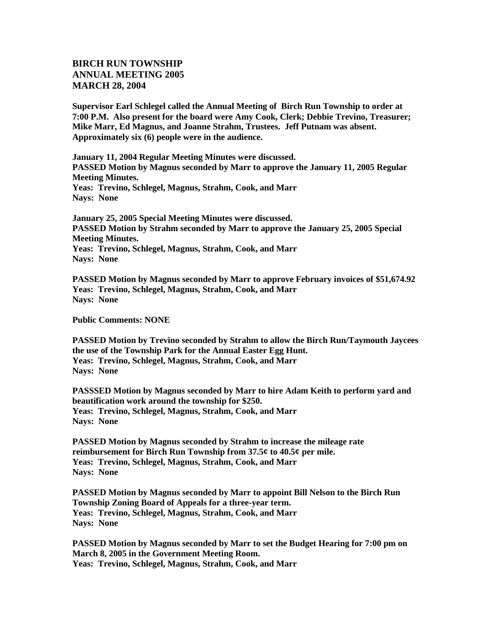## **BIRCH RUN TOWNSHIP ANNUAL MEETING 2005 MARCH 28, 2004**

**Supervisor Earl Schlegel called the Annual Meeting of Birch Run Township to order at 7:00 P.M. Also present for the board were Amy Cook, Clerk; Debbie Trevino, Treasurer; Mike Marr, Ed Magnus, and Joanne Strahm, Trustees. Jeff Putnam was absent. Approximately six (6) people were in the audience.** 

**January 11, 2004 Regular Meeting Minutes were discussed. PASSED Motion by Magnus seconded by Marr to approve the January 11, 2005 Regular Meeting Minutes. Yeas: Trevino, Schlegel, Magnus, Strahm, Cook, and Marr Nays: None**

**January 25, 2005 Special Meeting Minutes were discussed. PASSED Motion by Strahm seconded by Marr to approve the January 25, 2005 Special Meeting Minutes. Yeas: Trevino, Schlegel, Magnus, Strahm, Cook, and Marr Nays: None**

**PASSED Motion by Magnus seconded by Marr to approve February invoices of \$51,674.92 Yeas: Trevino, Schlegel, Magnus, Strahm, Cook, and Marr Nays: None**

**Public Comments: NONE**

**PASSED Motion by Trevino seconded by Strahm to allow the Birch Run/Taymouth Jaycees the use of the Township Park for the Annual Easter Egg Hunt. Yeas: Trevino, Schlegel, Magnus, Strahm, Cook, and Marr Nays: None**

**PASSSED Motion by Magnus seconded by Marr to hire Adam Keith to perform yard and beautification work around the township for \$250. Yeas: Trevino, Schlegel, Magnus, Strahm, Cook, and Marr Nays: None**

**PASSED Motion by Magnus seconded by Strahm to increase the mileage rate reimbursement for Birch Run Township from 37.5¢ to 40.5¢ per mile. Yeas: Trevino, Schlegel, Magnus, Strahm, Cook, and Marr Nays: None**

**PASSED Motion by Magnus seconded by Marr to appoint Bill Nelson to the Birch Run Township Zoning Board of Appeals for a three-year term. Yeas: Trevino, Schlegel, Magnus, Strahm, Cook, and Marr Nays: None**

**PASSED Motion by Magnus seconded by Marr to set the Budget Hearing for 7:00 pm on March 8, 2005 in the Government Meeting Room. Yeas: Trevino, Schlegel, Magnus, Strahm, Cook, and Marr**